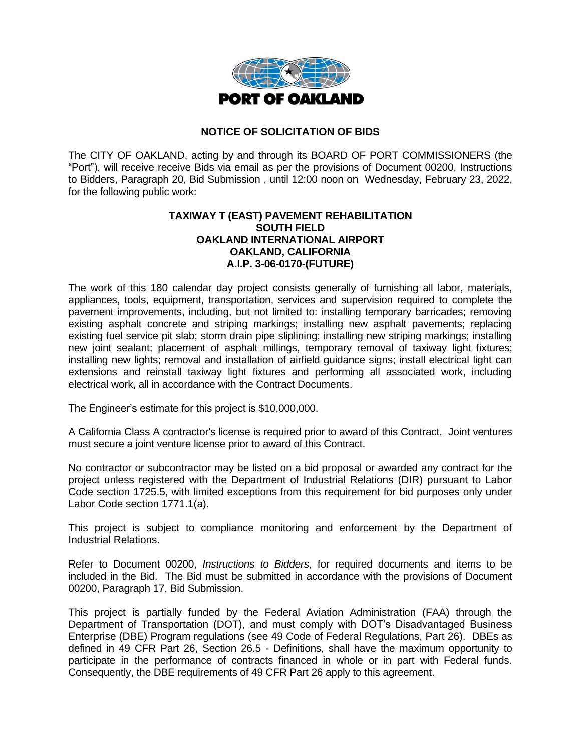

## **NOTICE OF SOLICITATION OF BIDS**

The CITY OF OAKLAND, acting by and through its BOARD OF PORT COMMISSIONERS (the "Port"), will receive receive Bids via email as per the provisions of Document 00200, Instructions to Bidders, Paragraph 20, Bid Submission , until 12:00 noon on Wednesday, February 23, 2022, for the following public work:

## **TAXIWAY T (EAST) PAVEMENT REHABILITATION SOUTH FIELD OAKLAND INTERNATIONAL AIRPORT OAKLAND, CALIFORNIA A.I.P. 3-06-0170-(FUTURE)**

The work of this 180 calendar day project consists generally of furnishing all labor, materials, appliances, tools, equipment, transportation, services and supervision required to complete the pavement improvements, including, but not limited to: installing temporary barricades; removing existing asphalt concrete and striping markings; installing new asphalt pavements; replacing existing fuel service pit slab; storm drain pipe sliplining; installing new striping markings; installing new joint sealant; placement of asphalt millings, temporary removal of taxiway light fixtures; installing new lights; removal and installation of airfield guidance signs; install electrical light can extensions and reinstall taxiway light fixtures and performing all associated work, including electrical work, all in accordance with the Contract Documents.

The Engineer's estimate for this project is \$10,000,000.

A California Class A contractor's license is required prior to award of this Contract. Joint ventures must secure a joint venture license prior to award of this Contract.

No contractor or subcontractor may be listed on a bid proposal or awarded any contract for the project unless registered with the Department of Industrial Relations (DIR) pursuant to Labor Code section 1725.5, with limited exceptions from this requirement for bid purposes only under Labor Code section 1771.1(a).

This project is subject to compliance monitoring and enforcement by the Department of Industrial Relations.

Refer to Document 00200, *Instructions to Bidders*, for required documents and items to be included in the Bid. The Bid must be submitted in accordance with the provisions of Document 00200, Paragraph 17, Bid Submission.

This project is partially funded by the Federal Aviation Administration (FAA) through the Department of Transportation (DOT), and must comply with DOT's Disadvantaged Business Enterprise (DBE) Program regulations (see 49 Code of Federal Regulations, Part 26). DBEs as defined in 49 CFR Part 26, Section 26.5 - Definitions, shall have the maximum opportunity to participate in the performance of contracts financed in whole or in part with Federal funds. Consequently, the DBE requirements of 49 CFR Part 26 apply to this agreement.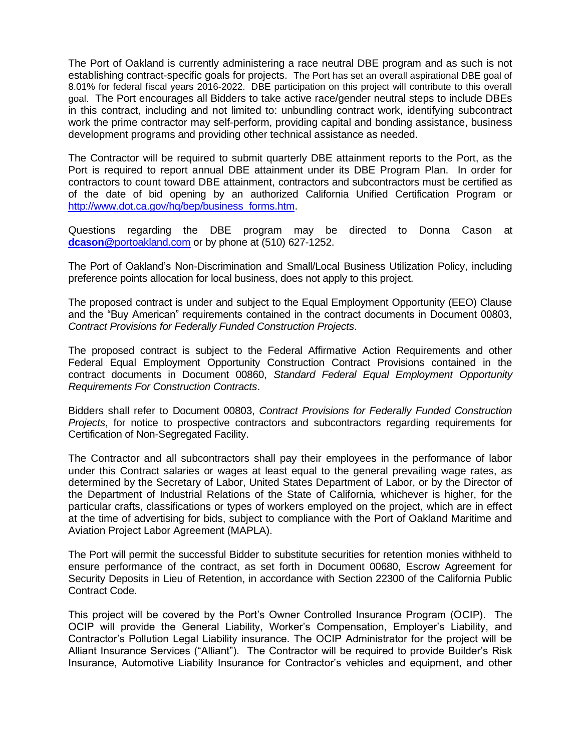The Port of Oakland is currently administering a race neutral DBE program and as such is not establishing contract-specific goals for projects. The Port has set an overall aspirational DBE goal of 8.01% for federal fiscal years 2016-2022. DBE participation on this project will contribute to this overall goal. The Port encourages all Bidders to take active race/gender neutral steps to include DBEs in this contract, including and not limited to: unbundling contract work, identifying subcontract work the prime contractor may self-perform, providing capital and bonding assistance, business development programs and providing other technical assistance as needed.

The Contractor will be required to submit quarterly DBE attainment reports to the Port, as the Port is required to report annual DBE attainment under its DBE Program Plan. In order for contractors to count toward DBE attainment, contractors and subcontractors must be certified as of the date of bid opening by an authorized California Unified Certification Program or [http://www.dot.ca.gov/hq/bep/business\\_forms.htm.](http://www.dot.ca.gov/hq/bep/business_forms.htm)

Questions regarding the DBE program may be directed to Donna Cason at **dcason**[@portoakland.com](mailto:dcason@portoakland.com) or by phone at (510) 627-1252.

The Port of Oakland's Non-Discrimination and Small/Local Business Utilization Policy, including preference points allocation for local business, does not apply to this project.

The proposed contract is under and subject to the Equal Employment Opportunity (EEO) Clause and the "Buy American" requirements contained in the contract documents in Document 00803, *Contract Provisions for Federally Funded Construction Projects*.

The proposed contract is subject to the Federal Affirmative Action Requirements and other Federal Equal Employment Opportunity Construction Contract Provisions contained in the contract documents in Document 00860, *Standard Federal Equal Employment Opportunity Requirements For Construction Contracts*.

Bidders shall refer to Document 00803, *Contract Provisions for Federally Funded Construction Projects*, for notice to prospective contractors and subcontractors regarding requirements for Certification of Non-Segregated Facility.

The Contractor and all subcontractors shall pay their employees in the performance of labor under this Contract salaries or wages at least equal to the general prevailing wage rates, as determined by the Secretary of Labor, United States Department of Labor, or by the Director of the Department of Industrial Relations of the State of California, whichever is higher, for the particular crafts, classifications or types of workers employed on the project, which are in effect at the time of advertising for bids, subject to compliance with the Port of Oakland Maritime and Aviation Project Labor Agreement (MAPLA).

The Port will permit the successful Bidder to substitute securities for retention monies withheld to ensure performance of the contract, as set forth in Document 00680, Escrow Agreement for Security Deposits in Lieu of Retention, in accordance with Section 22300 of the California Public Contract Code.

This project will be covered by the Port's Owner Controlled Insurance Program (OCIP). The OCIP will provide the General Liability, Worker's Compensation, Employer's Liability, and Contractor's Pollution Legal Liability insurance. The OCIP Administrator for the project will be Alliant Insurance Services ("Alliant"). The Contractor will be required to provide Builder's Risk Insurance, Automotive Liability Insurance for Contractor's vehicles and equipment, and other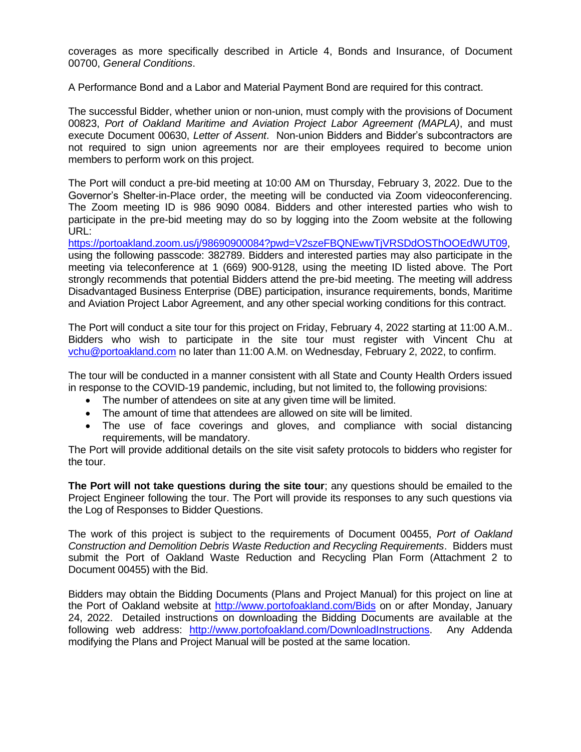coverages as more specifically described in Article 4, Bonds and Insurance, of Document 00700, *General Conditions*.

A Performance Bond and a Labor and Material Payment Bond are required for this contract.

The successful Bidder, whether union or non-union, must comply with the provisions of Document 00823, *Port of Oakland Maritime and Aviation Project Labor Agreement (MAPLA)*, and must execute Document 00630, *Letter of Assent*. Non-union Bidders and Bidder's subcontractors are not required to sign union agreements nor are their employees required to become union members to perform work on this project.

The Port will conduct a pre-bid meeting at 10:00 AM on Thursday, February 3, 2022. Due to the Governor's Shelter-in-Place order, the meeting will be conducted via Zoom videoconferencing. The Zoom meeting ID is 986 9090 0084. Bidders and other interested parties who wish to participate in the pre-bid meeting may do so by logging into the Zoom website at the following URL:

[https://portoakland.zoom.us/j/98690900084?pwd=V2szeFBQNEwwTjVRSDdOSThOOEdWUT09,](https://portoakland.zoom.us/j/98690900084?pwd=V2szeFBQNEwwTjVRSDdOSThOOEdWUT09) using the following passcode: 382789. Bidders and interested parties may also participate in the meeting via teleconference at 1 (669) 900-9128, using the meeting ID listed above. The Port strongly recommends that potential Bidders attend the pre-bid meeting. The meeting will address Disadvantaged Business Enterprise (DBE) participation, insurance requirements, bonds, Maritime and Aviation Project Labor Agreement, and any other special working conditions for this contract.

The Port will conduct a site tour for this project on Friday, February 4, 2022 starting at 11:00 A.M.. Bidders who wish to participate in the site tour must register with Vincent Chu at [vchu@portoakland.com](mailto:vchu@portoakland.com) no later than 11:00 A.M. on Wednesday, February 2, 2022, to confirm.

The tour will be conducted in a manner consistent with all State and County Health Orders issued in response to the COVID-19 pandemic, including, but not limited to, the following provisions:

- The number of attendees on site at any given time will be limited.
- The amount of time that attendees are allowed on site will be limited.
- The use of face coverings and gloves, and compliance with social distancing requirements, will be mandatory.

The Port will provide additional details on the site visit safety protocols to bidders who register for the tour.

**The Port will not take questions during the site tour**; any questions should be emailed to the Project Engineer following the tour. The Port will provide its responses to any such questions via the Log of Responses to Bidder Questions.

The work of this project is subject to the requirements of Document 00455, *Port of Oakland Construction and Demolition Debris Waste Reduction and Recycling Requirements*. Bidders must submit the Port of Oakland Waste Reduction and Recycling Plan Form (Attachment 2 to Document 00455) with the Bid.

Bidders may obtain the Bidding Documents (Plans and Project Manual) for this project on line at the Port of Oakland website at<http://www.portofoakland.com/Bids> on or after Monday, January 24, 2022. Detailed instructions on downloading the Bidding Documents are available at the following web address: [http://www.portofoakland.com/DownloadInstructions.](http://www.portofoakland.com/DownloadInstructions) Any Addenda modifying the Plans and Project Manual will be posted at the same location.